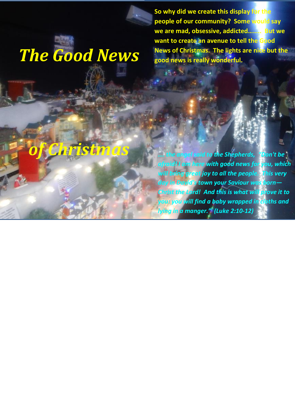*The Good News* 

**So why did we create this display for the people of our community? Some would say we are mad, obsessive, addicted…….. But we want to create an avenue to tell the Good News of Christmas. The lights are nice but the good news is really wonderful.**

 $\mathcal{L}^{\text{max}}_{\text{max}}$  .

## *of Christmas*

*…. the angel said to the Shepherds, "Don't be afraid! I am here with good news for you, which will bring great joy to all the people. This very day in David's town your Saviour was born— Christ the Lord! And this is what will prove it to you: you will find a baby wrapped in cloths and lying in a manger." (Luke 2:10-12)*